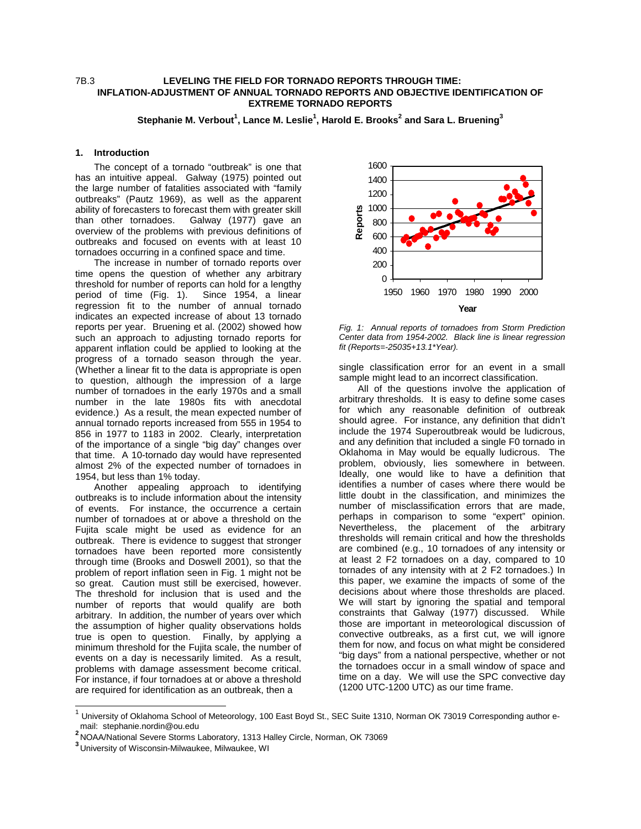# 7B.3 **LEVELING THE FIELD FOR TORNADO REPORTS THROUGH TIME: INFLATION-ADJUSTMENT OF ANNUAL TORNADO REPORTS AND OBJECTIVE IDENTIFICATION OF EXTREME TORNADO REPORTS**

 ${\sf Step}$ hanie M. Verbout $^1$ , Lance M. Leslie $^1$ , Harold E. Brooks $^2$  and Sara L. Bruening $^3$ 

## **1. Introduction**

The concept of a tornado "outbreak" is one that has an intuitive appeal. Galway (1975) pointed out the large number of fatalities associated with "family outbreaks" (Pautz 1969), as well as the apparent ability of forecasters to forecast them with greater skill than other tornadoes. Galway (1977) gave an overview of the problems with previous definitions of outbreaks and focused on events with at least 10 tornadoes occurring in a confined space and time.

The increase in number of tornado reports over time opens the question of whether any arbitrary threshold for number of reports can hold for a lengthy period of time (Fig. 1). Since 1954, a linear regression fit to the number of annual tornado indicates an expected increase of about 13 tornado reports per year. Bruening et al. (2002) showed how such an approach to adjusting tornado reports for apparent inflation could be applied to looking at the progress of a tornado season through the year. (Whether a linear fit to the data is appropriate is open to question, although the impression of a large number of tornadoes in the early 1970s and a small number in the late 1980s fits with anecdotal evidence.) As a result, the mean expected number of annual tornado reports increased from 555 in 1954 to 856 in 1977 to 1183 in 2002. Clearly, interpretation of the importance of a single "big day" changes over that time. A 10-tornado day would have represented almost 2% of the expected number of tornadoes in 1954, but less than 1% today.

Another appealing approach to identifying outbreaks is to include information about the intensity of events. For instance, the occurrence a certain number of tornadoes at or above a threshold on the Fujita scale might be used as evidence for an outbreak. There is evidence to suggest that stronger tornadoes have been reported more consistently through time (Brooks and Doswell 2001), so that the problem of report inflation seen in Fig. 1 might not be so great. Caution must still be exercised, however. The threshold for inclusion that is used and the number of reports that would qualify are both arbitrary. In addition, the number of years over which the assumption of higher quality observations holds true is open to question. Finally, by applying a minimum threshold for the Fujita scale, the number of events on a day is necessarily limited. As a result, problems with damage assessment become critical. For instance, if four tornadoes at or above a threshold are required for identification as an outbreak, then a



Fig. 1: Annual reports of tornadoes from Storm Prediction Center data from 1954-2002. Black line is linear regression fit (Reports=-25035+13.1\*Year).

single classification error for an event in a small sample might lead to an incorrect classification.

All of the questions involve the application of arbitrary thresholds. It is easy to define some cases for which any reasonable definition of outbreak should agree. For instance, any definition that didn't include the 1974 Superoutbreak would be ludicrous, and any definition that included a single F0 tornado in Oklahoma in May would be equally ludicrous. The problem, obviously, lies somewhere in between. Ideally, one would like to have a definition that identifies a number of cases where there would be little doubt in the classification, and minimizes the number of misclassification errors that are made, perhaps in comparison to some "expert" opinion. Nevertheless, the placement of the arbitrary thresholds will remain critical and how the thresholds are combined (e.g., 10 tornadoes of any intensity or at least 2 F2 tornadoes on a day, compared to 10 tornades of any intensity with at 2 F2 tornadoes.) In this paper, we examine the impacts of some of the decisions about where those thresholds are placed. We will start by ignoring the spatial and temporal constraints that Galway (1977) discussed. While those are important in meteorological discussion of convective outbreaks, as a first cut, we will ignore them for now, and focus on what might be considered "big days" from a national perspective, whether or not the tornadoes occur in a small window of space and time on a day. We will use the SPC convective day (1200 UTC-1200 UTC) as our time frame.

j

 $^1$  University of Oklahoma School of Meteorology, 100 East Boyd St., SEC Suite 1310, Norman OK 73019 Corresponding author email: stephanie.nordin@ou.edu **<sup>2</sup>**

<sup>&</sup>lt;sup>2</sup> NOAA/National Severe Storms Laboratory, 1313 Halley Circle, Norman, OK 73069

**<sup>3</sup>** University of Wisconsin-Milwaukee, Milwaukee, WI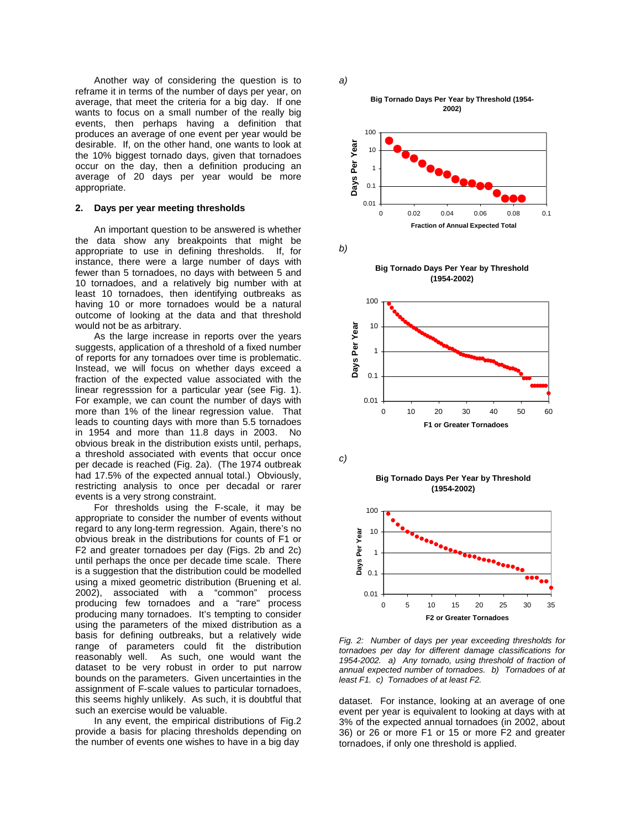Another way of considering the question is to reframe it in terms of the number of days per year, on average, that meet the criteria for a big day. If one wants to focus on a small number of the really big events, then perhaps having a definition that produces an average of one event per year would be desirable. If, on the other hand, one wants to look at the 10% biggest tornado days, given that tornadoes occur on the day, then a definition producing an average of 20 days per year would be more appropriate.

## **2. Days per year meeting thresholds**

An important question to be answered is whether the data show any breakpoints that might be appropriate to use in defining thresholds. If, for instance, there were a large number of days with fewer than 5 tornadoes, no days with between 5 and 10 tornadoes, and a relatively big number with at least 10 tornadoes, then identifying outbreaks as having 10 or more tornadoes would be a natural outcome of looking at the data and that threshold would not be as arbitrary.

As the large increase in reports over the years suggests, application of a threshold of a fixed number of reports for any tornadoes over time is problematic. Instead, we will focus on whether days exceed a fraction of the expected value associated with the linear regresssion for a particular year (see Fig. 1). For example, we can count the number of days with more than 1% of the linear regression value. That leads to counting days with more than 5.5 tornadoes in 1954 and more than 11.8 days in 2003. No obvious break in the distribution exists until, perhaps, a threshold associated with events that occur once per decade is reached (Fig. 2a). (The 1974 outbreak had 17.5% of the expected annual total.) Obviously, restricting analysis to once per decadal or rarer events is a very strong constraint.

For thresholds using the F-scale, it may be appropriate to consider the number of events without regard to any long-term regression. Again, there's no obvious break in the distributions for counts of F1 or F2 and greater tornadoes per day (Figs. 2b and 2c) until perhaps the once per decade time scale. There is a suggestion that the distribution could be modelled using a mixed geometric distribution (Bruening et al. 2002), associated with a "common" process producing few tornadoes and a "rare" process producing many tornadoes. It's tempting to consider using the parameters of the mixed distribution as a basis for defining outbreaks, but a relatively wide range of parameters could fit the distribution reasonably well. As such, one would want the dataset to be very robust in order to put narrow bounds on the parameters. Given uncertainties in the assignment of F-scale values to particular tornadoes, this seems highly unlikely. As such, it is doubtful that such an exercise would be valuable.

In any event, the empirical distributions of Fig.2 provide a basis for placing thresholds depending on the number of events one wishes to have in a big day







b)

**Big Tornado Days Per Year by Threshold (1954-2002)**



c)

**Big Tornado Days Per Year by Threshold (1954-2002)**



Fig. 2: Number of days per year exceeding thresholds for tornadoes per day for different damage classifications for 1954-2002. a) Any tornado, using threshold of fraction of annual expected number of tornadoes. b) Tornadoes of at least F1. c) Tornadoes of at least F2.

dataset. For instance, looking at an average of one event per year is equivalent to looking at days with at 3% of the expected annual tornadoes (in 2002, about 36) or 26 or more F1 or 15 or more F2 and greater tornadoes, if only one threshold is applied.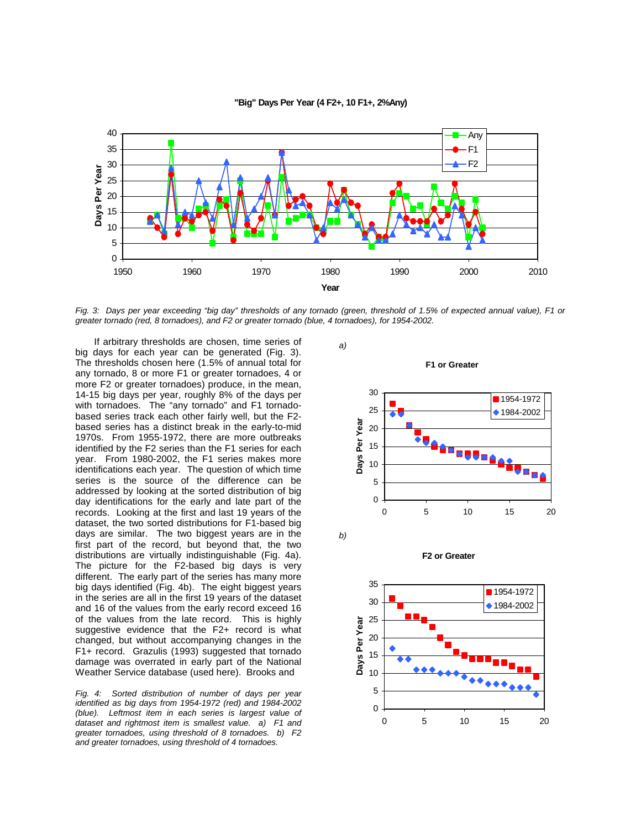

### **"Big" Days Per Year (4 F2+, 10 F1+, 2%Any)**

Fig. 3: Days per year exceeding "big day" thresholds of any tornado (green, threshold of 1.5% of expected annual value), F1 or greater tornado (red, 8 tornadoes), and F2 or greater tornado (blue, 4 tornadoes), for 1954-2002.

If arbitrary thresholds are chosen, time series of big days for each year can be generated (Fig. 3). The thresholds chosen here (1.5% of annual total for any tornado, 8 or more F1 or greater tornadoes, 4 or more F2 or greater tornadoes) produce, in the mean, 14-15 big days per year, roughly 8% of the days per with tornadoes. The "any tornado" and F1 tornadobased series track each other fairly well, but the F2 based series has a distinct break in the early-to-mid 1970s. From 1955-1972, there are more outbreaks identified by the F2 series than the F1 series for each year. From 1980-2002, the F1 series makes more identifications each year. The question of which time series is the source of the difference can be addressed by looking at the sorted distribution of big day identifications for the early and late part of the records. Looking at the first and last 19 years of the dataset, the two sorted distributions for F1-based big days are similar. The two biggest years are in the first part of the record, but beyond that, the two distributions are virtually indistinguishable (Fig. 4a). The picture for the F2-based big days is very different. The early part of the series has many more big days identified (Fig. 4b). The eight biggest years in the series are all in the first 19 years of the dataset and 16 of the values from the early record exceed 16 of the values from the late record. This is highly suggestive evidence that the F2+ record is what changed, but without accompanying changes in the F1+ record. Grazulis (1993) suggested that tornado damage was overrated in early part of the National Weather Service database (used here). Brooks and

Fig. 4: Sorted distribution of number of days per year identified as big days from 1954-1972 (red) and 1984-2002 (blue). Leftmost item in each series is largest value of dataset and rightmost item is smallest value. a) F1 and greater tornadoes, using threshold of 8 tornadoes. b) F2 and greater tornadoes, using threshold of 4 tornadoes.